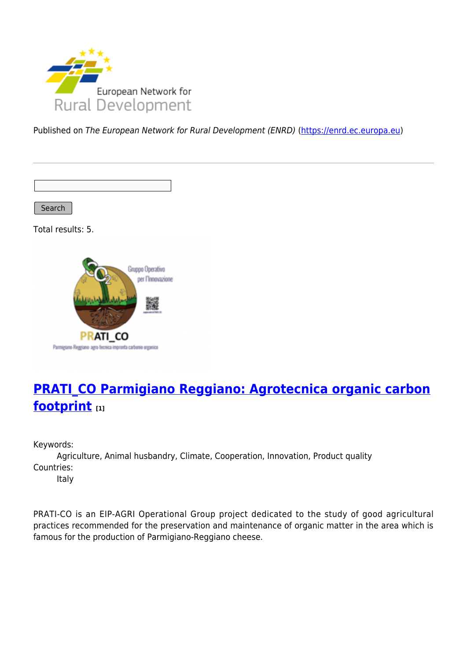

Published on The European Network for Rural Development (ENRD) [\(https://enrd.ec.europa.eu](https://enrd.ec.europa.eu))

Search

Total results: 5.



# **[PRATI\\_CO Parmigiano Reggiano: Agrotecnica organic carbon](https://enrd.ec.europa.eu/projects-practice/pratico-parmigiano-reggiano-agrotecnica-organic-carbon-footprint_en) [footprint](https://enrd.ec.europa.eu/projects-practice/pratico-parmigiano-reggiano-agrotecnica-organic-carbon-footprint_en) [1]**

Keywords:

Agriculture, Animal husbandry, Climate, Cooperation, Innovation, Product quality Countries:

Italy

PRATI-CO is an EIP-AGRI Operational Group project dedicated to the study of good agricultural practices recommended for the preservation and maintenance of organic matter in the area which is famous for the production of Parmigiano-Reggiano cheese.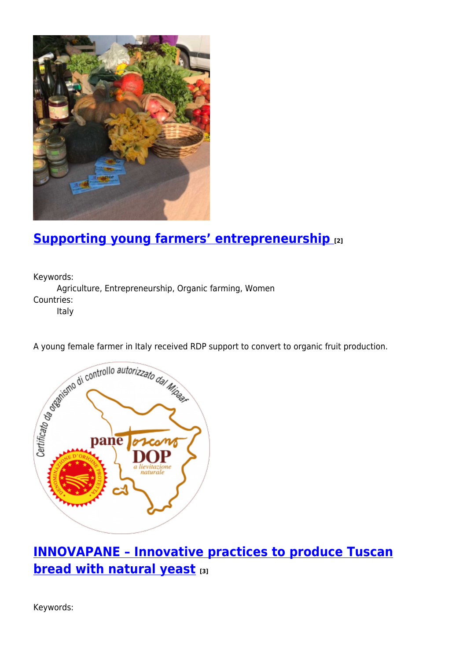

### **[Supporting young farmers' entrepreneurship](https://enrd.ec.europa.eu/projects-practice/supporting-young-farmers-entrepreneurship_en) [2]**

Keywords: Agriculture, Entrepreneurship, Organic farming, Women Countries: Italy



# **[INNOVAPANE – Innovative practices to produce Tuscan](https://enrd.ec.europa.eu/projects-practice/innovapane-innovative-practices-produce-tuscan-bread-natural-yeast_en) [bread with natural yeast](https://enrd.ec.europa.eu/projects-practice/innovapane-innovative-practices-produce-tuscan-bread-natural-yeast_en) [3]**

Keywords: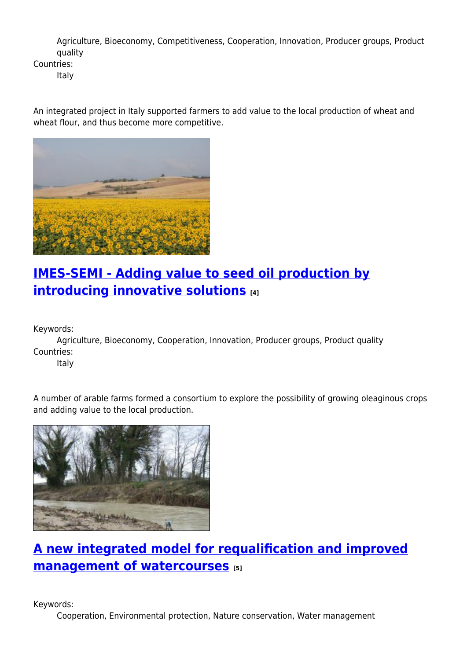Agriculture, Bioeconomy, Competitiveness, Cooperation, Innovation, Producer groups, Product quality

Countries:

Italy

An integrated project in Italy supported farmers to add value to the local production of wheat and wheat flour, and thus become more competitive.



### **[IMES-SEMI - Adding value to seed oil production by](https://enrd.ec.europa.eu/projects-practice/imes-semi-adding-value-seed-oil-production-introducing-innovative-solutions_en) [introducing innovative solutions](https://enrd.ec.europa.eu/projects-practice/imes-semi-adding-value-seed-oil-production-introducing-innovative-solutions_en) [4]**

Keywords:

Agriculture, Bioeconomy, Cooperation, Innovation, Producer groups, Product quality Countries:

Italy

A number of arable farms formed a consortium to explore the possibility of growing oleaginous crops and adding value to the local production.



# **[A new integrated model for requalification and improved](https://enrd.ec.europa.eu/projects-practice/new-integrated-model-requalification-and-improved-management-watercourses_en) [management of watercourses](https://enrd.ec.europa.eu/projects-practice/new-integrated-model-requalification-and-improved-management-watercourses_en) [5]**

Keywords:

Cooperation, Environmental protection, Nature conservation, Water management